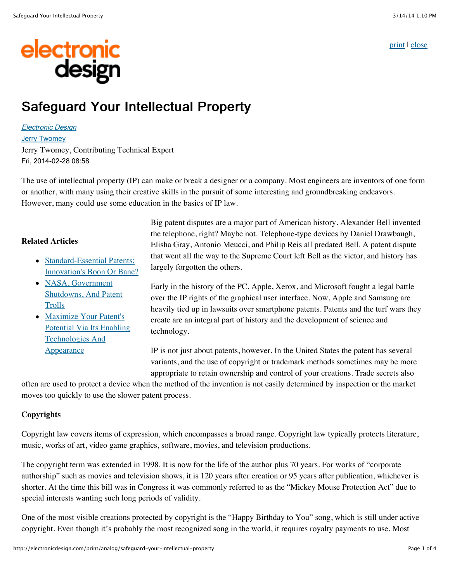[print](javascript:window.print();) | [close](javascript:window.close())

# electronic<br>design

# Safeguard Your Intellectual Property

[Electronic Design](http://electronicdesign.com/electronic-design-0) [Jerry Twomey](http://electronicdesign.com/author/jerry-twomey) Jerry Twomey, Contributing Technical Expert Fri, 2014-02-28 08:58

The use of intellectual property (IP) can make or break a designer or a company. Most engineers are inventors of one form or another, with many using their creative skills in the pursuit of some interesting and groundbreaking endeavors. However, many could use some education in the basics of IP law.

# **Related Articles**

- Standard-Essential Patents: [Innovation's Boon Or Bane?](http://electronicdesign.com/digital-ics/standard-essential-patents-innovation-s-boon-or-bane)
- NASA, Government [Shutdowns, And Patent](http://electronicdesign.com/blog/nasa-government-shutdowns-and-patent-trolls) **Trolls**
- Maximize Your Patent's [Potential Via Its Enabling](http://electronicdesign.com/components/maximize-your-patent-s-potential-its-enabling-technologies-and-appearance) Technologies And Appearance

Big patent disputes are a major part of American history. Alexander Bell invented the telephone, right? Maybe not. Telephone-type devices by Daniel Drawbaugh, Elisha Gray, Antonio Meucci, and Philip Reis all predated Bell. A patent dispute that went all the way to the Supreme Court left Bell as the victor, and history has largely forgotten the others.

Early in the history of the PC, Apple, Xerox, and Microsoft fought a legal battle over the IP rights of the graphical user interface. Now, Apple and Samsung are heavily tied up in lawsuits over smartphone patents. Patents and the turf wars they create are an integral part of history and the development of science and technology.

IP is not just about patents, however. In the United States the patent has several variants, and the use of copyright or trademark methods sometimes may be more appropriate to retain ownership and control of your creations. Trade secrets also

often are used to protect a device when the method of the invention is not easily determined by inspection or the market moves too quickly to use the slower patent process.

# **Copyrights**

Copyright law covers items of expression, which encompasses a broad range. Copyright law typically protects literature, music, works of art, video game graphics, software, movies, and television productions.

The copyright term was extended in 1998. It is now for the life of the author plus 70 years. For works of "corporate authorship" such as movies and television shows, it is 120 years after creation or 95 years after publication, whichever is shorter. At the time this bill was in Congress it was commonly referred to as the "Mickey Mouse Protection Act" due to special interests wanting such long periods of validity.

One of the most visible creations protected by copyright is the "Happy Birthday to You" song, which is still under active copyright. Even though it's probably the most recognized song in the world, it requires royalty payments to use. Most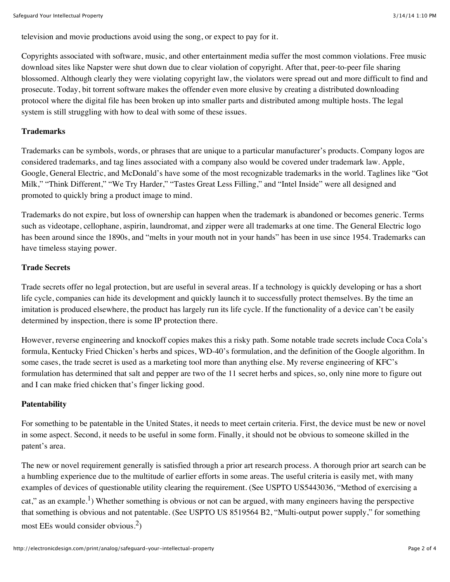television and movie productions avoid using the song, or expect to pay for it.

Copyrights associated with software, music, and other entertainment media suffer the most common violations. Free music download sites like Napster were shut down due to clear violation of copyright. After that, peer-to-peer file sharing blossomed. Although clearly they were violating copyright law, the violators were spread out and more difficult to find and prosecute. Today, bit torrent software makes the offender even more elusive by creating a distributed downloading protocol where the digital file has been broken up into smaller parts and distributed among multiple hosts. The legal system is still struggling with how to deal with some of these issues.

# **Trademarks**

Trademarks can be symbols, words, or phrases that are unique to a particular manufacturer's products. Company logos are considered trademarks, and tag lines associated with a company also would be covered under trademark law. Apple, Google, General Electric, and McDonald's have some of the most recognizable trademarks in the world. Taglines like "Got Milk," "Think Different," "We Try Harder," "Tastes Great Less Filling," and "Intel Inside" were all designed and promoted to quickly bring a product image to mind.

Trademarks do not expire, but loss of ownership can happen when the trademark is abandoned or becomes generic. Terms such as videotape, cellophane, aspirin, laundromat, and zipper were all trademarks at one time. The General Electric logo has been around since the 1890s, and "melts in your mouth not in your hands" has been in use since 1954. Trademarks can have timeless staying power.

# **Trade Secrets**

Trade secrets offer no legal protection, but are useful in several areas. If a technology is quickly developing or has a short life cycle, companies can hide its development and quickly launch it to successfully protect themselves. By the time an imitation is produced elsewhere, the product has largely run its life cycle. If the functionality of a device can't be easily determined by inspection, there is some IP protection there.

However, reverse engineering and knockoff copies makes this a risky path. Some notable trade secrets include Coca Cola's formula, Kentucky Fried Chicken's herbs and spices, WD-40's formulation, and the definition of the Google algorithm. In some cases, the trade secret is used as a marketing tool more than anything else. My reverse engineering of KFC's formulation has determined that salt and pepper are two of the 11 secret herbs and spices, so, only nine more to figure out and I can make fried chicken that's finger licking good.

# **Patentability**

For something to be patentable in the United States, it needs to meet certain criteria. First, the device must be new or novel in some aspect. Second, it needs to be useful in some form. Finally, it should not be obvious to someone skilled in the patent's area.

The new or novel requirement generally is satisfied through a prior art research process. A thorough prior art search can be a humbling experience due to the multitude of earlier efforts in some areas. The useful criteria is easily met, with many examples of devices of questionable utility clearing the requirement. (See USPTO US5443036, "Method of exercising a cat," as an example.<sup>1</sup>) Whether something is obvious or not can be argued, with many engineers having the perspective that something is obvious and not patentable. (See USPTO US 8519564 B2, "Multi-output power supply," for something most EEs would consider obvious.2)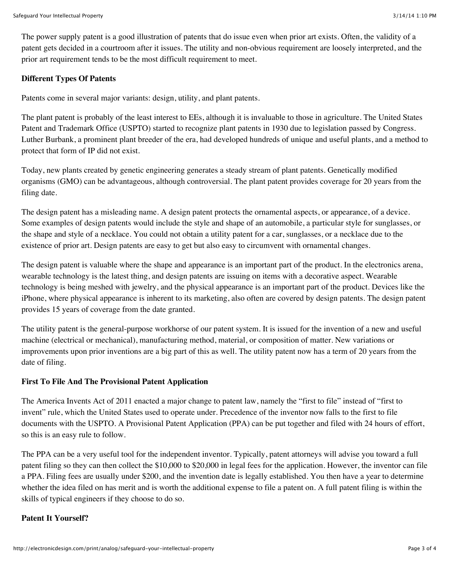The power supply patent is a good illustration of patents that do issue even when prior art exists. Often, the validity of a patent gets decided in a courtroom after it issues. The utility and non-obvious requirement are loosely interpreted, and the prior art requirement tends to be the most difficult requirement to meet.

#### **Different Types Of Patents**

Patents come in several major variants: design, utility, and plant patents.

The plant patent is probably of the least interest to EEs, although it is invaluable to those in agriculture. The United States Patent and Trademark Office (USPTO) started to recognize plant patents in 1930 due to legislation passed by Congress. Luther Burbank, a prominent plant breeder of the era, had developed hundreds of unique and useful plants, and a method to protect that form of IP did not exist.

Today, new plants created by genetic engineering generates a steady stream of plant patents. Genetically modified organisms (GMO) can be advantageous, although controversial. The plant patent provides coverage for 20 years from the filing date.

The design patent has a misleading name. A design patent protects the ornamental aspects, or appearance, of a device. Some examples of design patents would include the style and shape of an automobile, a particular style for sunglasses, or the shape and style of a necklace. You could not obtain a utility patent for a car, sunglasses, or a necklace due to the existence of prior art. Design patents are easy to get but also easy to circumvent with ornamental changes.

The design patent is valuable where the shape and appearance is an important part of the product. In the electronics arena, wearable technology is the latest thing, and design patents are issuing on items with a decorative aspect. Wearable technology is being meshed with jewelry, and the physical appearance is an important part of the product. Devices like the iPhone, where physical appearance is inherent to its marketing, also often are covered by design patents. The design patent provides 15 years of coverage from the date granted.

The utility patent is the general-purpose workhorse of our patent system. It is issued for the invention of a new and useful machine (electrical or mechanical), manufacturing method, material, or composition of matter. New variations or improvements upon prior inventions are a big part of this as well. The utility patent now has a term of 20 years from the date of filing.

#### **First To File And The Provisional Patent Application**

The America Invents Act of 2011 enacted a major change to patent law, namely the "first to file" instead of "first to invent" rule, which the United States used to operate under. Precedence of the inventor now falls to the first to file documents with the USPTO. A Provisional Patent Application (PPA) can be put together and filed with 24 hours of effort, so this is an easy rule to follow.

The PPA can be a very useful tool for the independent inventor. Typically, patent attorneys will advise you toward a full patent filing so they can then collect the \$10,000 to \$20,000 in legal fees for the application. However, the inventor can file a PPA. Filing fees are usually under \$200, and the invention date is legally established. You then have a year to determine whether the idea filed on has merit and is worth the additional expense to file a patent on. A full patent filing is within the skills of typical engineers if they choose to do so.

#### **Patent It Yourself?**